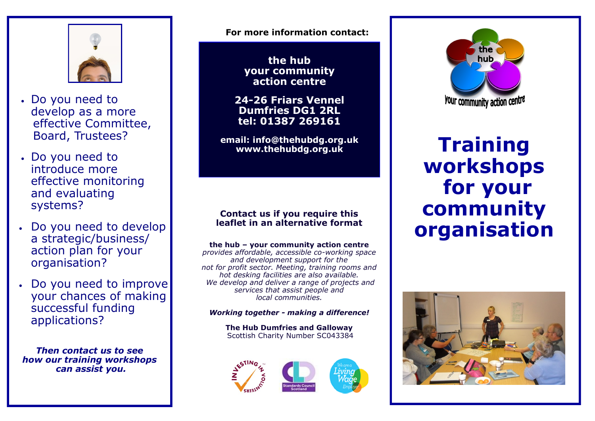

- Do you need to develop as a more effective Committee, Board, Trustees?
- Do you need to introduce more effective monitoring and evaluating systems?
- Do you need to develop a strategic/business/ action plan for your organisation?
- Do you need to improve your chances of making successful funding applications?

*Then contact us to see how our training workshops can assist you.*

**For more information contact:**

**the hub your community action centre**

**24-26 Friars Vennel Dumfries DG1 2RL tel: 01387 269161**

**email: info@thehubdg.org.uk www.thehubdg.org.uk**

## **Contact us if you require this leaflet in an alternative format**

**the hub – your community action centre**  *provides affordable, accessible co-working space and development support for the not for profit sector. Meeting, training rooms and hot desking facilities are also available. We develop and deliver a range of projects and services that assist people and local communities.*

*Working together - making a difference!*

**The Hub Dumfries and Galloway** Scottish Charity Number SC043384





**Training workshops for your community organisation**